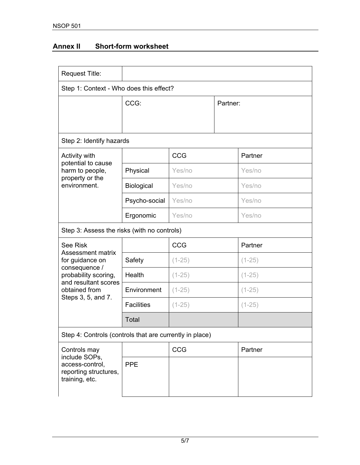## **Annex II Short-form worksheet**

| <b>Request Title:</b>                                                                                                                                                  |                   |            |          |            |  |  |  |
|------------------------------------------------------------------------------------------------------------------------------------------------------------------------|-------------------|------------|----------|------------|--|--|--|
| Step 1: Context - Who does this effect?                                                                                                                                |                   |            |          |            |  |  |  |
|                                                                                                                                                                        | CCG:              |            | Partner: |            |  |  |  |
|                                                                                                                                                                        |                   |            |          |            |  |  |  |
|                                                                                                                                                                        |                   |            |          |            |  |  |  |
| Step 2: Identify hazards                                                                                                                                               |                   |            |          |            |  |  |  |
| Activity with<br>potential to cause<br>harm to people,<br>property or the<br>environment.                                                                              |                   | CCG        |          | Partner    |  |  |  |
|                                                                                                                                                                        | Physical          | Yes/no     |          | Yes/no     |  |  |  |
|                                                                                                                                                                        | Biological        | Yes/no     |          | Yes/no     |  |  |  |
|                                                                                                                                                                        | Psycho-social     | Yes/no     |          | Yes/no     |  |  |  |
|                                                                                                                                                                        | Ergonomic         | Yes/no     |          | Yes/no     |  |  |  |
| Step 3: Assess the risks (with no controls)                                                                                                                            |                   |            |          |            |  |  |  |
| <b>See Risk</b><br><b>Assessment matrix</b><br>for guidance on<br>consequence /<br>probability scoring,<br>and resultant scores<br>obtained from<br>Steps 3, 5, and 7. |                   | <b>CCG</b> |          | Partner    |  |  |  |
|                                                                                                                                                                        | Safety            | $(1-25)$   |          | $(1-25)$   |  |  |  |
|                                                                                                                                                                        | Health            | $(1-25)$   |          | $(1 - 25)$ |  |  |  |
|                                                                                                                                                                        | Environment       | $(1-25)$   |          | $(1 - 25)$ |  |  |  |
|                                                                                                                                                                        | <b>Facilities</b> | $(1-25)$   |          | $(1-25)$   |  |  |  |
|                                                                                                                                                                        | Total             |            |          |            |  |  |  |
| Step 4: Controls (controls that are currently in place)                                                                                                                |                   |            |          |            |  |  |  |
| Controls may<br>include SOPs,<br>access-control,<br>reporting structures,<br>training, etc.                                                                            |                   | CCG        |          | Partner    |  |  |  |
|                                                                                                                                                                        | <b>PPE</b>        |            |          |            |  |  |  |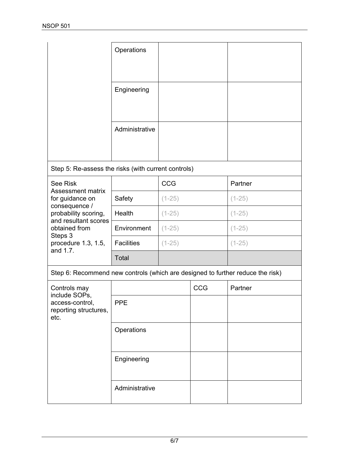|                                                                                                                                                                                         | Operations        |          |     |            |  |  |  |  |
|-----------------------------------------------------------------------------------------------------------------------------------------------------------------------------------------|-------------------|----------|-----|------------|--|--|--|--|
|                                                                                                                                                                                         | Engineering       |          |     |            |  |  |  |  |
|                                                                                                                                                                                         | Administrative    |          |     |            |  |  |  |  |
| Step 5: Re-assess the risks (with current controls)                                                                                                                                     |                   |          |     |            |  |  |  |  |
| <b>See Risk</b><br>Assessment matrix<br>for guidance on<br>consequence /<br>probability scoring,<br>and resultant scores<br>obtained from<br>Steps 3<br>procedure 1.3, 1.5,<br>and 1.7. |                   | CCG      |     | Partner    |  |  |  |  |
|                                                                                                                                                                                         | Safety            | $(1-25)$ |     | $(1 - 25)$ |  |  |  |  |
|                                                                                                                                                                                         | Health            | $(1-25)$ |     | $(1 - 25)$ |  |  |  |  |
|                                                                                                                                                                                         | Environment       | $(1-25)$ |     | $(1 - 25)$ |  |  |  |  |
|                                                                                                                                                                                         | <b>Facilities</b> | $(1-25)$ |     | $(1-25)$   |  |  |  |  |
|                                                                                                                                                                                         | Total             |          |     |            |  |  |  |  |
| Step 6: Recommend new controls (which are designed to further reduce the risk)                                                                                                          |                   |          |     |            |  |  |  |  |
| Controls may<br>include SOPs,<br>access-control.<br>reporting structures,<br>etc.                                                                                                       |                   |          | CCG | Partner    |  |  |  |  |
|                                                                                                                                                                                         | <b>PPE</b>        |          |     |            |  |  |  |  |
|                                                                                                                                                                                         | Operations        |          |     |            |  |  |  |  |
|                                                                                                                                                                                         | Engineering       |          |     |            |  |  |  |  |
|                                                                                                                                                                                         | Administrative    |          |     |            |  |  |  |  |